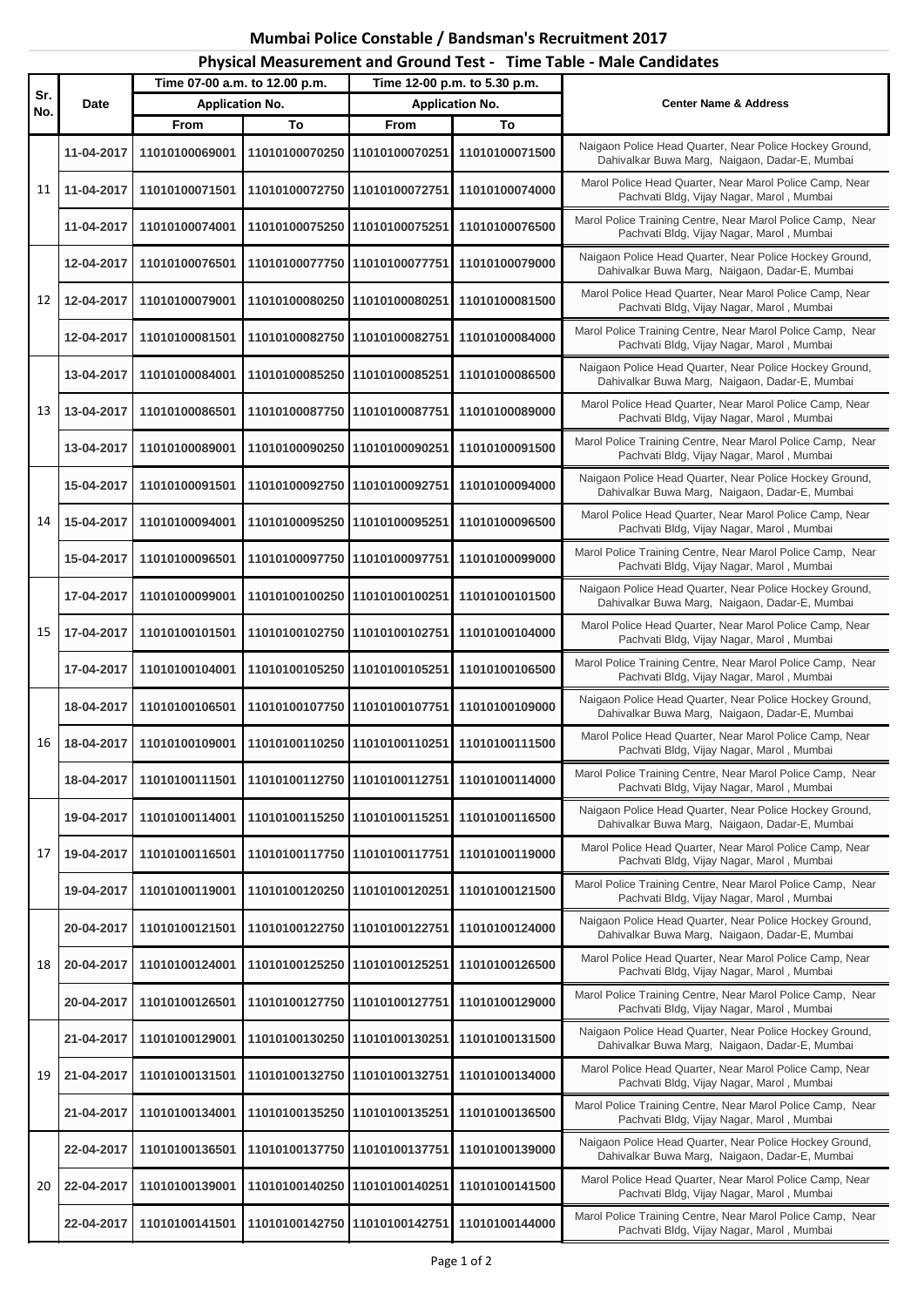## **Mumbai Police Constable / Bandsman's Recruitment 2017 Physical Measurement and Ground Test - Time Table - Male Candidates**

| Sr.<br>No. | Date       | Time 07-00 a.m. to 12.00 p.m. |                               | Time 12-00 p.m. to 5.30 p.m. |                | <b>Center Name &amp; Address</b>                                                                          |
|------------|------------|-------------------------------|-------------------------------|------------------------------|----------------|-----------------------------------------------------------------------------------------------------------|
|            |            | <b>Application No.</b>        |                               | <b>Application No.</b>       |                |                                                                                                           |
|            |            | From                          | To                            | From                         | To             |                                                                                                           |
| 11         | 11-04-2017 | 11010100069001                | 11010100070250                | 11010100070251               | 11010100071500 | Naigaon Police Head Quarter, Near Police Hockey Ground,<br>Dahivalkar Buwa Marg, Naigaon, Dadar-E, Mumbai |
|            | 11-04-2017 | 11010100071501                | 11010100072750 11010100072751 |                              | 11010100074000 | Marol Police Head Quarter, Near Marol Police Camp, Near<br>Pachvati Bldg, Vijay Nagar, Marol, Mumbai      |
|            | 11-04-2017 | 11010100074001                | 11010100075250 11010100075251 |                              | 11010100076500 | Marol Police Training Centre, Near Marol Police Camp, Near<br>Pachvati Bldg, Vijay Nagar, Marol, Mumbai   |
| 12         | 12-04-2017 | 11010100076501                | 11010100077750 11010100077751 |                              | 11010100079000 | Naigaon Police Head Quarter, Near Police Hockey Ground,<br>Dahivalkar Buwa Marg, Naigaon, Dadar-E, Mumbai |
|            | 12-04-2017 | 11010100079001                | 11010100080250 11010100080251 |                              | 11010100081500 | Marol Police Head Quarter, Near Marol Police Camp, Near<br>Pachvati Bldg, Vijay Nagar, Marol, Mumbai      |
|            | 12-04-2017 | 11010100081501                | 11010100082750 11010100082751 |                              | 11010100084000 | Marol Police Training Centre, Near Marol Police Camp, Near<br>Pachvati Bldg, Vijay Nagar, Marol, Mumbai   |
|            | 13-04-2017 | 11010100084001                | 11010100085250 11010100085251 |                              | 11010100086500 | Naigaon Police Head Quarter, Near Police Hockey Ground,<br>Dahivalkar Buwa Marg, Naigaon, Dadar-E, Mumbai |
| 13         | 13-04-2017 | 11010100086501                | 11010100087750 11010100087751 |                              | 11010100089000 | Marol Police Head Quarter, Near Marol Police Camp, Near<br>Pachvati Bldg, Vijay Nagar, Marol, Mumbai      |
|            | 13-04-2017 | 11010100089001                | 11010100090250 11010100090251 |                              | 11010100091500 | Marol Police Training Centre, Near Marol Police Camp, Near<br>Pachvati Bldg, Vijay Nagar, Marol, Mumbai   |
|            | 15-04-2017 | 11010100091501                | 11010100092750                | 11010100092751               | 11010100094000 | Naigaon Police Head Quarter, Near Police Hockey Ground,<br>Dahivalkar Buwa Marg, Naigaon, Dadar-E, Mumbai |
| 14         | 15-04-2017 | 11010100094001                | 11010100095250                | 11010100095251               | 11010100096500 | Marol Police Head Quarter, Near Marol Police Camp, Near<br>Pachvati Bldg, Vijay Nagar, Marol, Mumbai      |
|            | 15-04-2017 | 11010100096501                | 11010100097750                | 11010100097751               | 11010100099000 | Marol Police Training Centre, Near Marol Police Camp, Near<br>Pachvati Bldg, Vijay Nagar, Marol, Mumbai   |
|            | 17-04-2017 | 11010100099001                | 11010100100250                | 11010100100251               | 11010100101500 | Naigaon Police Head Quarter, Near Police Hockey Ground,<br>Dahivalkar Buwa Marg, Naigaon, Dadar-E, Mumbai |
| 15         | 17-04-2017 | 11010100101501                | 11010100102750                | 11010100102751               | 11010100104000 | Marol Police Head Quarter, Near Marol Police Camp, Near<br>Pachvati Bldg, Vijay Nagar, Marol, Mumbai      |
|            | 17-04-2017 | 11010100104001                | 11010100105250                | 11010100105251               | 11010100106500 | Marol Police Training Centre, Near Marol Police Camp, Near<br>Pachvati Bldg, Vijay Nagar, Marol, Mumbai   |
|            | 18-04-2017 | 11010100106501                | 11010100107750                | 11010100107751               | 11010100109000 | Naigaon Police Head Quarter, Near Police Hockey Ground,<br>Dahivalkar Buwa Marg, Naigaon, Dadar-E, Mumbai |
| 16         | 18-04-2017 | 11010100109001                | 11010100110250                | 11010100110251               | 11010100111500 | Marol Police Head Quarter, Near Marol Police Camp, Near<br>Pachvati Bldg, Vijay Nagar, Marol, Mumbai      |
|            | 18-04-2017 | 11010100111501                | 11010100112750 11010100112751 |                              | 11010100114000 | Marol Police Training Centre, Near Marol Police Camp, Near<br>Pachvati Bldg, Vijay Nagar, Marol, Mumbai   |
|            | 19-04-2017 | 11010100114001                | 11010100115250 11010100115251 |                              | 11010100116500 | Naigaon Police Head Quarter, Near Police Hockey Ground,<br>Dahivalkar Buwa Marg, Naigaon, Dadar-E, Mumbai |
| 17         | 19-04-2017 | 11010100116501                | 11010100117750 11010100117751 |                              | 11010100119000 | Marol Police Head Quarter, Near Marol Police Camp, Near<br>Pachvati Bldg, Vijay Nagar, Marol, Mumbai      |
|            | 19-04-2017 | 11010100119001                | 11010100120250 11010100120251 |                              | 11010100121500 | Marol Police Training Centre, Near Marol Police Camp, Near<br>Pachvati Bldg, Vijay Nagar, Marol, Mumbai   |
|            | 20-04-2017 | 11010100121501                | 11010100122750 11010100122751 |                              | 11010100124000 | Naigaon Police Head Quarter, Near Police Hockey Ground,<br>Dahivalkar Buwa Marg, Naigaon, Dadar-E, Mumbai |
| 18         | 20-04-2017 | 11010100124001                | 11010100125250 11010100125251 |                              | 11010100126500 | Marol Police Head Quarter, Near Marol Police Camp, Near<br>Pachvati Bldg, Vijay Nagar, Marol, Mumbai      |
|            | 20-04-2017 | 11010100126501                | 11010100127750 11010100127751 |                              | 11010100129000 | Marol Police Training Centre, Near Marol Police Camp, Near<br>Pachvati Bldg, Vijay Nagar, Marol, Mumbai   |
| 19         | 21-04-2017 | 11010100129001                | 11010100130250 11010100130251 |                              | 11010100131500 | Naigaon Police Head Quarter, Near Police Hockey Ground,<br>Dahivalkar Buwa Marg, Naigaon, Dadar-E, Mumbai |
|            | 21-04-2017 | 11010100131501                | 11010100132750                | 11010100132751               | 11010100134000 | Marol Police Head Quarter, Near Marol Police Camp, Near<br>Pachvati Bldg, Vijay Nagar, Marol, Mumbai      |
|            | 21-04-2017 | 11010100134001                | 11010100135250                | 11010100135251               | 11010100136500 | Marol Police Training Centre, Near Marol Police Camp, Near<br>Pachvati Bldg, Vijay Nagar, Marol, Mumbai   |
| 20         | 22-04-2017 | 11010100136501                | 11010100137750 11010100137751 |                              | 11010100139000 | Naigaon Police Head Quarter, Near Police Hockey Ground,<br>Dahivalkar Buwa Marg, Naigaon, Dadar-E, Mumbai |
|            | 22-04-2017 | 11010100139001                | 11010100140250 11010100140251 |                              | 11010100141500 | Marol Police Head Quarter, Near Marol Police Camp, Near<br>Pachvati Bldg, Vijay Nagar, Marol, Mumbai      |
|            | 22-04-2017 | 11010100141501                | 11010100142750 11010100142751 |                              | 11010100144000 | Marol Police Training Centre, Near Marol Police Camp, Near<br>Pachvati Bldg, Vijay Nagar, Marol, Mumbai   |